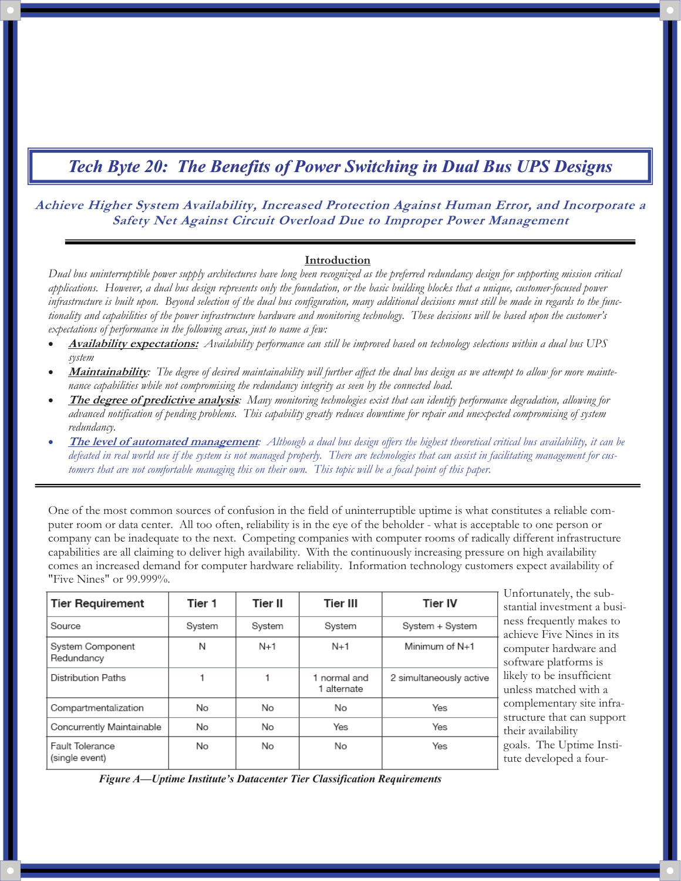### **Achieve Higher System Availability, Increased Protection Against Human Error, and Incorporate a Safety Net Against Circuit Overload Due to Improper Power Management**

#### **Introduction**

*Dual bus uninterruptible power supply architectures have long been recognized as the preferred redundancy design for supporting mission critical applications. However, a dual bus design represents only the foundation, or the basic building blocks that a unique, customer-focused power infrastructure is built upon. Beyond selection of the dual bus configuration, many additional decisions must still be made in regards to the functionality and capabilities of the power infrastructure hardware and monitoring technology. These decisions will be based upon the customer's expectations of performance in the following areas, just to name a few:* 

- - **Availability expectations:** *Availability performance can still be improved based on technology selections within a dual bus UPS system*
- - **Maintainability***: The degree of desired maintainability will further affect the dual bus design as we attempt to allow for more maintenance capabilities while not compromising the redundancy integrity as seen by the connected load.*
- - **The degree of predictive analysis***: Many monitoring technologies exist that can identify performance degradation, allowing for advanced notification of pending problems. This capability greatly reduces downtime for repair and unexpected compromising of system redundancy.*
- - **The level of automated management***: Although a dual bus design offers the highest theoretical critical bus availability, it can be defeated in real world use if the system is not managed properly. There are technologies that can assist in facilitating management for customers that are not comfortable managing this on their own. This topic will be a focal point of this paper.*

One of the most common sources of confusion in the field of uninterruptible uptime is what constitutes a reliable computer room or data center. All too often, reliability is in the eye of the beholder - what is acceptable to one person or company can be inadequate to the next. Competing companies with computer rooms of radically different infrastructure capabilities are all claiming to deliver high availability. With the continuously increasing pressure on high availability comes an increased demand for computer hardware reliability. Information technology customers expect availability of "Five Nines" or 99.999%.

| <b>Tier Requirement</b>           | Tier 1 | Tier II | <b>Tier III</b>             | <b>Tier IV</b>          |
|-----------------------------------|--------|---------|-----------------------------|-------------------------|
| Source                            | System | System  | System                      | System + System         |
| System Component<br>Redundancy    | N      | $N+1$   | $N+1$                       | Minimum of N+1          |
| <b>Distribution Paths</b>         |        |         | 1 normal and<br>1 alternate | 2 simultaneously active |
| Compartmentalization              | No     | No      | No.                         | Yes                     |
| Concurrently Maintainable         | No     | No      | Yes                         | Yes                     |
| Fault Tolerance<br>(single event) | No     | No      | No                          | Yes                     |

Unfortunately, the substantial investment a business frequently makes to achieve Five Nines in its computer hardware and software platforms is likely to be insufficient unless matched with a complementary site infrastructure that can support heir availability goals. The Uptime Instiute developed a four-

*Figure A—Uptime Institute's Datacenter Tier Classification Requirements*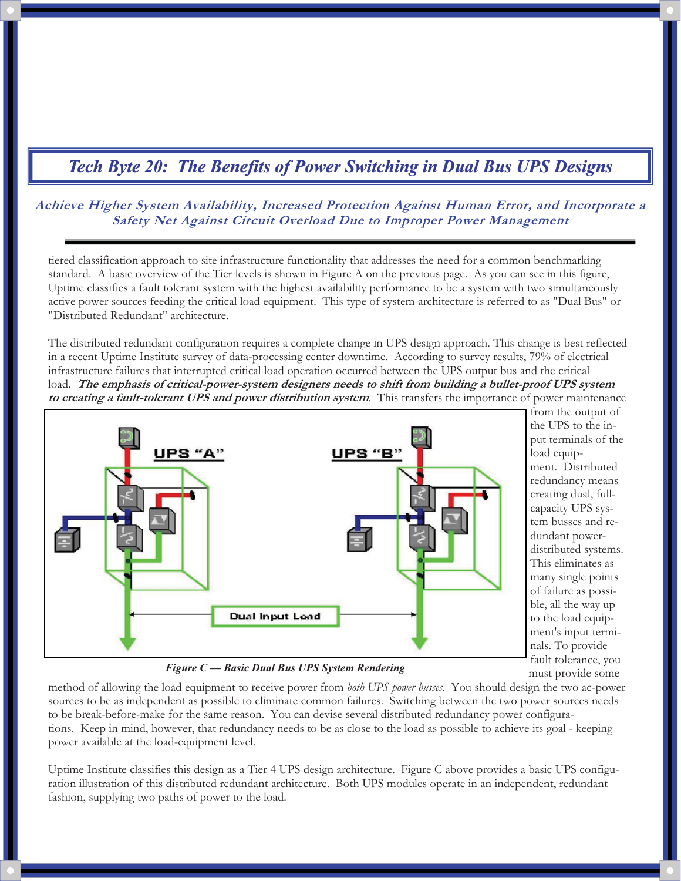**Achieve Higher System Availability, Increased Protection Against Human Error, and Incorporate a Safety Net Against Circuit Overload Due to Improper Power Management** 

tiered classification approach to site infrastructure functionality that addresses the need for a common benchmarking standard. A basic overview of the Tier levels is shown in Figure A on the previous page. As you can see in this figure, Uptime classifies a fault tolerant system with the highest availability performance to be a system with two simultaneously active power sources feeding the critical load equipment. This type of system architecture is referred to as "Dual Bus" or "Distributed Redundant" architecture.

The distributed redundant configuration requires a complete change in UPS design approach. This change is best reflected in a recent Uptime Institute survey of data-processing center downtime. According to survey results, 79% of electrical infrastructure failures that interrupted critical load operation occurred between the UPS output bus and the critical load. **The emphasis of critical-power-system designers needs to shift from building a bullet-proof UPS system to creating a fault-tolerant UPS and power distribution system**. This transfers the importance of power maintenance



from the output of the UPS to the input terminals of the load equipment. Distributed redundancy means creating dual, fullcapacity UPS system busses and redundant powerdistributed systems. This eliminates as many single points of failure as possible, all the way up to the load equipment's input terminals. To provide fault tolerance, you must provide some

*Figure C — Basic Dual Bus UPS System Rendering* 

method of allowing the load equipment to receive power from *both UPS power busses*. You should design the two ac-power sources to be as independent as possible to eliminate common failures. Switching between the two power sources needs to be break-before-make for the same reason. You can devise several distributed redundancy power configurations. Keep in mind, however, that redundancy needs to be as close to the load as possible to achieve its goal - keeping power available at the load-equipment level.

Uptime Institute classifies this design as a Tier 4 UPS design architecture. Figure C above provides a basic UPS configuration illustration of this distributed redundant architecture. Both UPS modules operate in an independent, redundant fashion, supplying two paths of power to the load.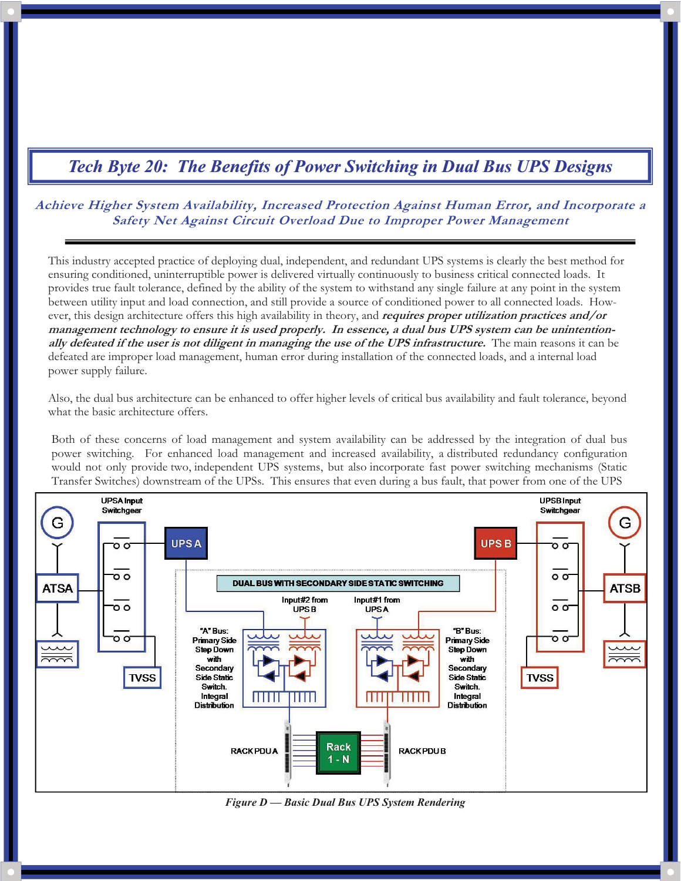**Achieve Higher System Availability, Increased Protection Against Human Error, and Incorporate a Safety Net Against Circuit Overload Due to Improper Power Management** 

This industry accepted practice of deploying dual, independent, and redundant UPS systems is clearly the best method for ensuring conditioned, uninterruptible power is delivered virtually continuously to business critical connected loads. It provides true fault tolerance, defined by the ability of the system to withstand any single failure at any point in the system between utility input and load connection, and still provide a source of conditioned power to all connected loads. However, this design architecture offers this high availability in theory, and **requires proper utilization practices and/or management technology to ensure it is used properly. In essence, a dual bus UPS system can be unintentionally defeated if the user is not diligent in managing the use of the UPS infrastructure.** The main reasons it can be defeated are improper load management, human error during installation of the connected loads, and a internal load power supply failure.

Also, the dual bus architecture can be enhanced to offer higher levels of critical bus availability and fault tolerance, beyond what the basic architecture offers.

Both of these concerns of load management and system availability can be addressed by the integration of dual bus power switching. For enhanced load management and increased availability, a distributed redundancy configuration would not only provide two, independent UPS systems, but also incorporate fast power switching mechanisms (Static Transfer Switches) downstream of the UPSs. This ensures that even during a bus fault, that power from one of the UPS



*Figure D — Basic Dual Bus UPS System Rendering*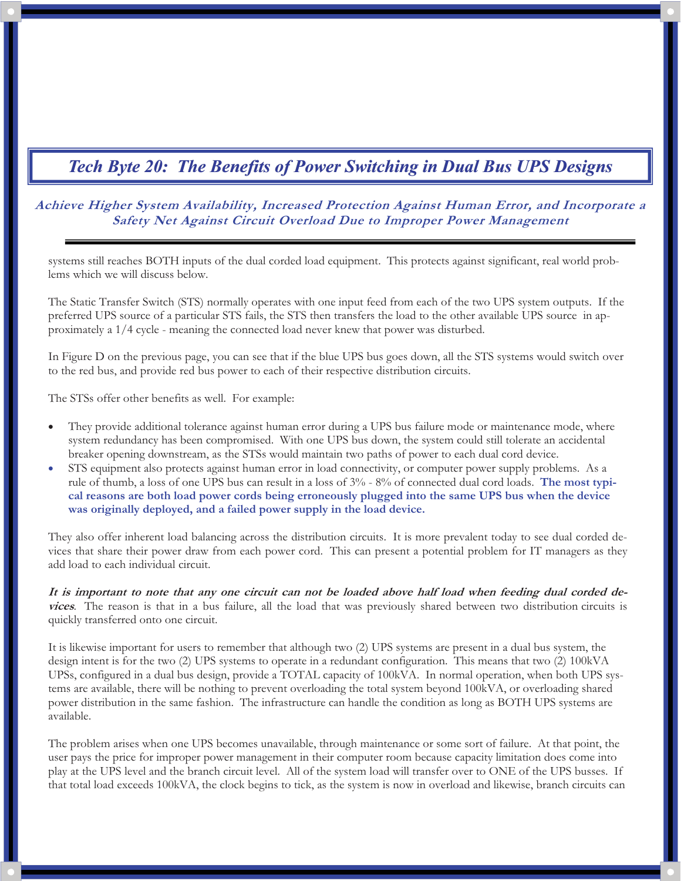### **Achieve Higher System Availability, Increased Protection Against Human Error, and Incorporate a Safety Net Against Circuit Overload Due to Improper Power Management**

systems still reaches BOTH inputs of the dual corded load equipment. This protects against significant, real world problems which we will discuss below.

The Static Transfer Switch (STS) normally operates with one input feed from each of the two UPS system outputs. If the preferred UPS source of a particular STS fails, the STS then transfers the load to the other available UPS source in approximately a 1/4 cycle - meaning the connected load never knew that power was disturbed.

In Figure D on the previous page, you can see that if the blue UPS bus goes down, all the STS systems would switch over to the red bus, and provide red bus power to each of their respective distribution circuits.

The STSs offer other benefits as well. For example:

- - They provide additional tolerance against human error during a UPS bus failure mode or maintenance mode, where system redundancy has been compromised. With one UPS bus down, the system could still tolerate an accidental breaker opening downstream, as the STSs would maintain two paths of power to each dual cord device.
- - STS equipment also protects against human error in load connectivity, or computer power supply problems. As a rule of thumb, a loss of one UPS bus can result in a loss of 3% - 8% of connected dual cord loads. **The most typical reasons are both load power cords being erroneously plugged into the same UPS bus when the device was originally deployed, and a failed power supply in the load device.**

They also offer inherent load balancing across the distribution circuits. It is more prevalent today to see dual corded devices that share their power draw from each power cord. This can present a potential problem for IT managers as they add load to each individual circuit.

**It is important to note that any one circuit can not be loaded above half load when feeding dual corded devices**. The reason is that in a bus failure, all the load that was previously shared between two distribution circuits is quickly transferred onto one circuit.

It is likewise important for users to remember that although two (2) UPS systems are present in a dual bus system, the design intent is for the two (2) UPS systems to operate in a redundant configuration. This means that two (2) 100kVA UPSs, configured in a dual bus design, provide a TOTAL capacity of 100kVA. In normal operation, when both UPS systems are available, there will be nothing to prevent overloading the total system beyond 100kVA, or overloading shared power distribution in the same fashion. The infrastructure can handle the condition as long as BOTH UPS systems are available.

The problem arises when one UPS becomes unavailable, through maintenance or some sort of failure. At that point, the user pays the price for improper power management in their computer room because capacity limitation does come into play at the UPS level and the branch circuit level. All of the system load will transfer over to ONE of the UPS busses. If that total load exceeds 100kVA, the clock begins to tick, as the system is now in overload and likewise, branch circuits can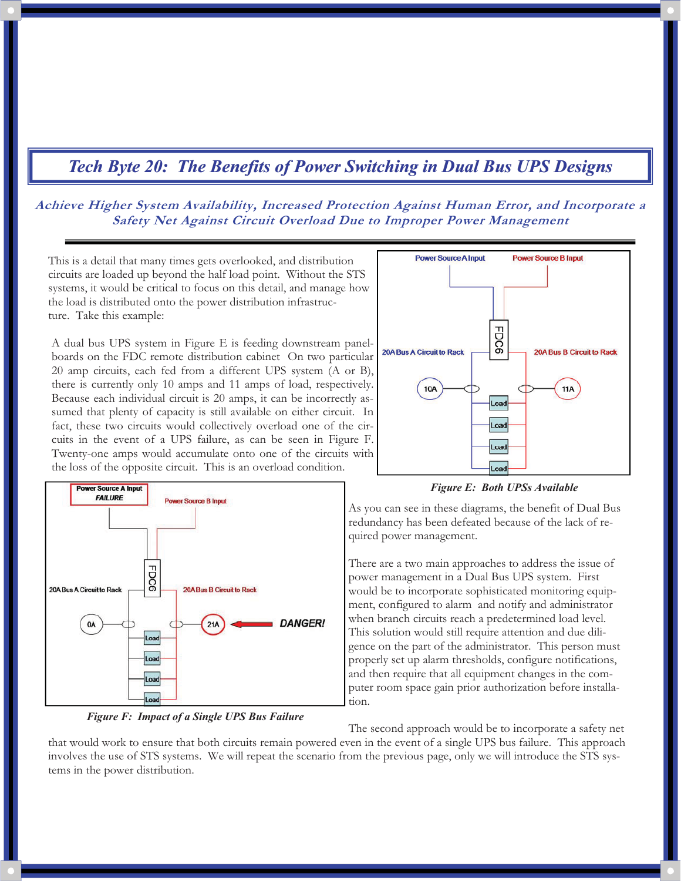### **Achieve Higher System Availability, Increased Protection Against Human Error, and Incorporate a Safety Net Against Circuit Overload Due to Improper Power Management**

This is a detail that many times gets overlooked, and distribution circuits are loaded up beyond the half load point. Without the STS systems, it would be critical to focus on this detail, and manage how the load is distributed onto the power distribution infrastructure. Take this example:

A dual bus UPS system in Figure E is feeding downstream panelboards on the FDC remote distribution cabinet On two particular 20 amp circuits, each fed from a different UPS system (A or B), there is currently only 10 amps and 11 amps of load, respectively. Because each individual circuit is 20 amps, it can be incorrectly assumed that plenty of capacity is still available on either circuit. In fact, these two circuits would collectively overload one of the circuits in the event of a UPS failure, as can be seen in Figure F. Twenty-one amps would accumulate onto one of the circuits with the loss of the opposite circuit. This is an overload condition.



*Figure F: Impact of a Single UPS Bus Failure* 



*Figure E: Both UPSs Available* 

As you can see in these diagrams, the benefit of Dual Bus redundancy has been defeated because of the lack of required power management.

There are a two main approaches to address the issue of power management in a Dual Bus UPS system. First would be to incorporate sophisticated monitoring equipment, configured to alarm and notify and administrator when branch circuits reach a predetermined load level. This solution would still require attention and due diligence on the part of the administrator. This person must properly set up alarm thresholds, configure notifications, and then require that all equipment changes in the computer room space gain prior authorization before installation.

The second approach would be to incorporate a safety net that would work to ensure that both circuits remain powered even in the event of a single UPS bus failure. This approach involves the use of STS systems. We will repeat the scenario from the previous page, only we will introduce the STS systems in the power distribution.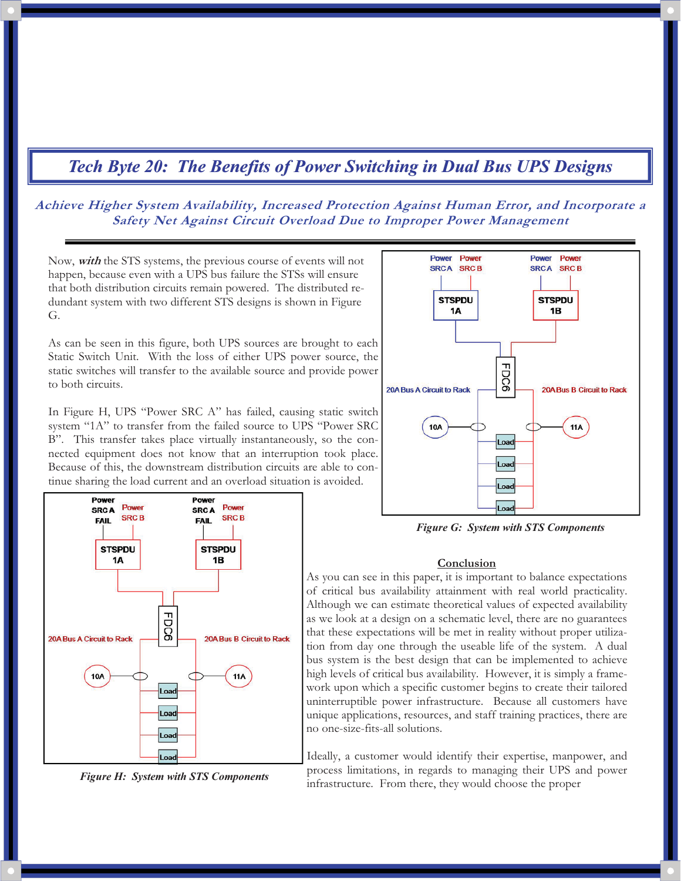### **Achieve Higher System Availability, Increased Protection Against Human Error, and Incorporate a Safety Net Against Circuit Overload Due to Improper Power Management**

Now, **with** the STS systems, the previous course of events will not happen, because even with a UPS bus failure the STSs will ensure that both distribution circuits remain powered. The distributed redundant system with two different STS designs is shown in Figure G.

As can be seen in this figure, both UPS sources are brought to each Static Switch Unit. With the loss of either UPS power source, the static switches will transfer to the available source and provide power to both circuits.

In Figure H, UPS "Power SRC A" has failed, causing static switch system "1A" to transfer from the failed source to UPS "Power SRC B". This transfer takes place virtually instantaneously, so the connected equipment does not know that an interruption took place. Because of this, the downstream distribution circuits are able to continue sharing the load current and an overload situation is avoided.







*Figure G: System with STS Components* 

#### **Conclusion**

As you can see in this paper, it is important to balance expectations of critical bus availability attainment with real world practicality. Although we can estimate theoretical values of expected availability as we look at a design on a schematic level, there are no guarantees that these expectations will be met in reality without proper utilization from day one through the useable life of the system. A dual bus system is the best design that can be implemented to achieve high levels of critical bus availability. However, it is simply a framework upon which a specific customer begins to create their tailored uninterruptible power infrastructure. Because all customers have unique applications, resources, and staff training practices, there are no one-size-fits-all solutions.

Ideally, a customer would identify their expertise, manpower, and process limitations, in regards to managing their UPS and power infrastructure. From there, they would choose the proper